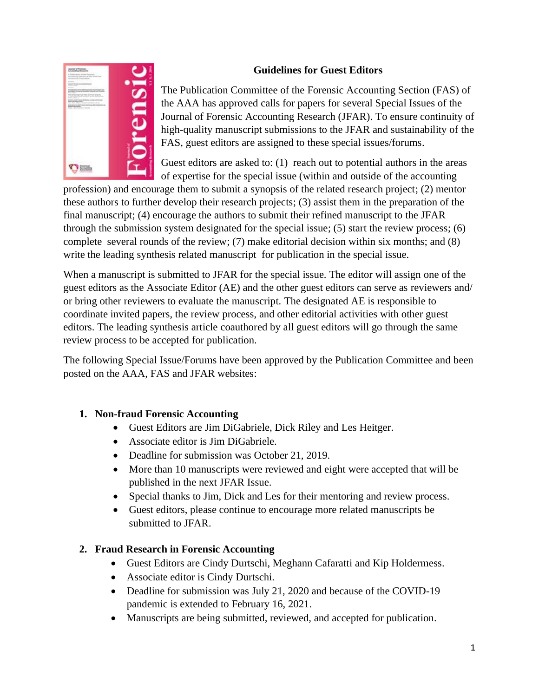## **Guidelines for Guest Editors**



The Publication Committee of the Forensic Accounting Section (FAS) of the AAA has approved calls for papers for several Special Issues of the Journal of Forensic Accounting Research (JFAR). To ensure continuity of high-quality manuscript submissions to the JFAR and sustainability of the FAS, guest editors are assigned to these special issues/forums.

Guest editors are asked to: (1) reach out to potential authors in the areas of expertise for the special issue (within and outside of the accounting

profession) and encourage them to submit a synopsis of the related research project; (2) mentor these authors to further develop their research projects; (3) assist them in the preparation of the final manuscript; (4) encourage the authors to submit their refined manuscript to the JFAR through the submission system designated for the special issue; (5) start the review process; (6) complete several rounds of the review; (7) make editorial decision within six months; and (8) write the leading synthesis related manuscript for publication in the special issue.

When a manuscript is submitted to JFAR for the special issue. The editor will assign one of the guest editors as the Associate Editor (AE) and the other guest editors can serve as reviewers and/ or bring other reviewers to evaluate the manuscript. The designated AE is responsible to coordinate invited papers, the review process, and other editorial activities with other guest editors. The leading synthesis article coauthored by all guest editors will go through the same review process to be accepted for publication.

The following Special Issue/Forums have been approved by the Publication Committee and been posted on the AAA, FAS and JFAR websites:

### **1. Non-fraud Forensic Accounting**

- Guest Editors are Jim DiGabriele, Dick Riley and Les Heitger.
- Associate editor is Jim DiGabriele.
- Deadline for submission was October 21, 2019.
- More than 10 manuscripts were reviewed and eight were accepted that will be published in the next JFAR Issue.
- Special thanks to Jim, Dick and Les for their mentoring and review process.
- Guest editors, please continue to encourage more related manuscripts be submitted to JFAR.

# **2. Fraud Research in Forensic Accounting**

- Guest Editors are Cindy Durtschi, Meghann Cafaratti and Kip Holdermess.
- Associate editor is Cindy Durtschi.
- Deadline for submission was July 21, 2020 and because of the COVID-19 pandemic is extended to February 16, 2021.
- Manuscripts are being submitted, reviewed, and accepted for publication.